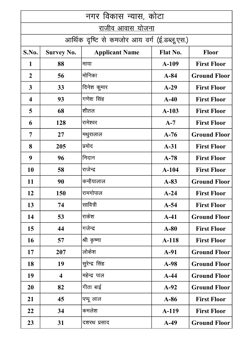| नगर विकास न्यास, कोटा   |                         |                                              |                 |                     |
|-------------------------|-------------------------|----------------------------------------------|-----------------|---------------------|
| <u>राजीव आवास योजना</u> |                         |                                              |                 |                     |
|                         |                         | आर्थिक दृष्टि से कमजोर आय वर्ग (ई.डब्लू.एस.) |                 |                     |
| S.No.                   | <b>Survey No.</b>       | <b>Applicant Name</b>                        | <b>Flat No.</b> | <b>Floor</b>        |
| 1                       | 88                      | माया                                         | $A-109$         | <b>First Floor</b>  |
| $\overline{2}$          | 56                      | मोनिका                                       | $A-84$          | <b>Ground Floor</b> |
| $\mathbf{3}$            | 33                      | दिनेश कुमार                                  | $A-29$          | <b>First Floor</b>  |
| $\overline{\mathbf{4}}$ | 93                      | गणेश सिंह                                    | $A-40$          | <b>First Floor</b>  |
| 5                       | 68                      | शीतल                                         | $A-103$         | <b>First Floor</b>  |
| 6                       | 128                     | रामेश्वर                                     | $A-7$           | <b>First Floor</b>  |
| $\overline{7}$          | 27                      | मथुरालाल                                     | $A-76$          | <b>Ground Floor</b> |
| 8                       | 205                     | प्रमोद                                       | $A-31$          | <b>First Floor</b>  |
| 9                       | 96                      | निदान                                        | $A-78$          | <b>First Floor</b>  |
| <b>10</b>               | 58                      | राजेन्द्र                                    | $A-104$         | <b>First Floor</b>  |
| 11                      | 90                      | कन्हैयालाल                                   | $A-83$          | <b>Ground Floor</b> |
| 12                      | 150                     | रामगोपाल                                     | $A-24$          | <b>First Floor</b>  |
| 13                      | 74                      | सावित्री                                     | $A-54$          | <b>First Floor</b>  |
| 14                      | 53                      | राकेश                                        | $A-41$          | <b>Ground Floor</b> |
| 15                      | 44                      | गजेन्द्र                                     | $A-80$          | <b>First Floor</b>  |
| <b>16</b>               | 57                      | श्री कृष्णा                                  | A-118           | <b>First Floor</b>  |
| 17                      | 207                     | लोकेश                                        | $A-91$          | <b>Ground Floor</b> |
| <b>18</b>               | 19                      | सुरेन्द्र सिंह                               | $A-98$          | <b>Ground Floor</b> |
| 19                      | $\overline{\mathbf{4}}$ | महेन्द्र पाल                                 | $A-44$          | <b>Ground Floor</b> |
| <b>20</b>               | 82                      | गीता बाई                                     | $A-92$          | <b>Ground Floor</b> |
| 21                      | 45                      | पप्पू लाल                                    | $A-86$          | <b>First Floor</b>  |
| 22                      | 34                      | कमलेश                                        | A-119           | <b>First Floor</b>  |
| 23                      | 31                      | दशरथ प्रसाद                                  | $A-49$          | <b>Ground Floor</b> |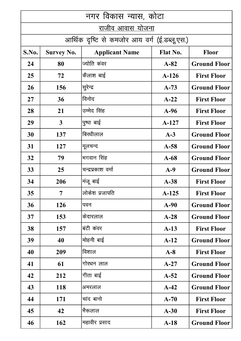| नगर विकास न्यास, कोटा    |                   |                                              |                 |                     |
|--------------------------|-------------------|----------------------------------------------|-----------------|---------------------|
| राजीव आव <u>ास योजना</u> |                   |                                              |                 |                     |
|                          |                   | आर्थिक दृष्टि से कमजोर आय वर्ग (ई.डब्लू.एस.) |                 |                     |
| S.No.                    | <b>Survey No.</b> | <b>Applicant Name</b>                        | <b>Flat No.</b> | <b>Floor</b>        |
| 24                       | 80                | ज्योति कंवर                                  | $A-82$          | <b>Ground Floor</b> |
| 25                       | 72                | कैलाश बाई                                    | $A-126$         | <b>First Floor</b>  |
| 26                       | 156               | सुरेन्द्र                                    | $A-73$          | <b>Ground Floor</b> |
| 27                       | 36                | विनोद                                        | $A-22$          | <b>First Floor</b>  |
| 28                       | 21                | उम्मेद सिंह                                  | $A-96$          | <b>First Floor</b>  |
| 29                       | $\mathbf{3}$      | पुष्पा बाई                                   | $A-127$         | <b>First Floor</b>  |
| 30                       | 137               | बिरधीलाल                                     | $A-3$           | <b>Ground Floor</b> |
| 31                       | <b>127</b>        | मूलचन्द                                      | $A-58$          | <b>Ground Floor</b> |
| 32                       | 79                | भगवान सिंह                                   | $A-68$          | <b>Ground Floor</b> |
| 33                       | 25                | चन्द्रप्रकाश वर्मा                           | $A-9$           | <b>Ground Floor</b> |
| 34                       | 206               | मंजू बाई                                     | $A-38$          | <b>First Floor</b>  |
| 35                       | 7                 | लोकेश प्रजापति                               | $A-125$         | <b>First Floor</b>  |
| 36                       | 126               | पवन                                          | $A-90$          | <b>Ground Floor</b> |
| 37                       | 153               | केदारलाल                                     | $A-28$          | <b>Ground Floor</b> |
| 38                       | 157               | बंटी कंवर                                    | $A-13$          | <b>First Floor</b>  |
| 39                       | 40                | मोहनी बाई                                    | $A-12$          | <b>Ground Floor</b> |
| 40                       | 209               | विशाल                                        | $A-8$           | <b>First Floor</b>  |
| 41                       | 61                | गोरधन लाल                                    | $A-27$          | <b>Ground Floor</b> |
| 42                       | 212               | गीता बाई                                     | $A-52$          | <b>Ground Floor</b> |
| 43                       | 118               | अमरलाल                                       | $A-42$          | <b>Ground Floor</b> |
| 44                       | 171               | चांद बानो                                    | $A-70$          | <b>First Floor</b>  |
| 45                       | 42                | भैरूलाल                                      | $A-30$          | <b>First Floor</b>  |
| 46                       | 162               | महावीर प्रसाद                                | $A-18$          | <b>Ground Floor</b> |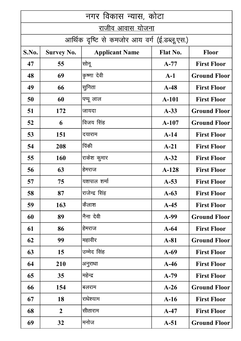| नगर विकास न्यास, कोटा                        |                   |                       |                 |                     |
|----------------------------------------------|-------------------|-----------------------|-----------------|---------------------|
| <u>राजीव आवास योजना</u>                      |                   |                       |                 |                     |
| आर्थिक दृष्टि से कमजोर आय वर्ग (ई.डब्लू.एस.) |                   |                       |                 |                     |
| S.No.                                        | <b>Survey No.</b> | <b>Applicant Name</b> | <b>Flat No.</b> | <b>Floor</b>        |
| 47                                           | 55                | सोनू                  | $A-77$          | <b>First Floor</b>  |
| 48                                           | 69                | कृष्णा देवी           | $A-1$           | <b>Ground Floor</b> |
| 49                                           | 66                | सुनिता                | $A-48$          | <b>First Floor</b>  |
| 50                                           | 60                | पप्पू लाल             | $A-101$         | <b>First Floor</b>  |
| 51                                           | 172               | जायदा                 | $A-33$          | <b>Ground Floor</b> |
| 52                                           | 6                 | विजय सिंह             | $A-107$         | <b>Ground Floor</b> |
| 53                                           | 151               | दयाराम                | $A-14$          | <b>First Floor</b>  |
| 54                                           | 208               | पिंकी                 | $A-21$          | <b>First Floor</b>  |
| 55                                           | 160               | राकेश कुमार           | $A-32$          | <b>First Floor</b>  |
| 56                                           | 63                | हेमराज                | $A-128$         | <b>First Floor</b>  |
| 57                                           | 75                | यशपाल शर्मा           | $A-53$          | <b>First Floor</b>  |
| 58                                           | 87                | राजेन्द्र सिंह        | $A-63$          | <b>First Floor</b>  |
| 59                                           | 163               | कैलाश                 | $A-45$          | <b>First Floor</b>  |
| 60                                           | 89                | नैना देवी             | A-99            | <b>Ground Floor</b> |
| 61                                           | 86                | हेमराज                | $A-64$          | <b>First Floor</b>  |
| 62                                           | 99                | महावीर                | $A-81$          | <b>Ground Floor</b> |
| 63                                           | 15                | उम्मेद सिंह           | $A-69$          | <b>First Floor</b>  |
| 64                                           | 210               | अनुराधा               | $A-46$          | <b>First Floor</b>  |
| 65                                           | 35                | महेन्द्र              | $A-79$          | <b>First Floor</b>  |
| 66                                           | 154               | बलराम                 | $A-26$          | <b>Ground Floor</b> |
| 67                                           | 18                | राधेश्याम             | $A-16$          | <b>First Floor</b>  |
| 68                                           | $\overline{2}$    | सीताराम               | $A-47$          | <b>First Floor</b>  |
| 69                                           | 32                | मनोज                  | $A-51$          | <b>Ground Floor</b> |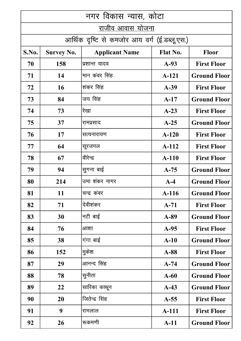| नगर विकास न्यास, कोटा |                   |                                              |                 |                     |
|-----------------------|-------------------|----------------------------------------------|-----------------|---------------------|
| राजीव आवास योजना      |                   |                                              |                 |                     |
|                       |                   | आर्थिक दृष्टि से कमजोर आय वर्ग (ई.डब्लू.एस.) |                 |                     |
| S.No.                 | <b>Survey No.</b> | <b>Applicant Name</b>                        | <b>Flat No.</b> | <b>Floor</b>        |
| 70                    | 158               | प्रशान्त यादव                                | $A-93$          | <b>First Floor</b>  |
| 71                    | 14                | मान कंवर सिंह                                | A-121           | <b>Ground Floor</b> |
| 72                    | 16                | शंकर सिंह                                    | $A-39$          | <b>First Floor</b>  |
| 73                    | 84                | जय सिंह                                      | $A-17$          | <b>Ground Floor</b> |
| 74                    | 73                | रेखा                                         | $A-23$          | <b>First Floor</b>  |
| 75                    | 37                | रामप्रसाद                                    | $A-25$          | <b>Ground Floor</b> |
| 76                    | 17                | सत्यनारायण                                   | $A-120$         | <b>First Floor</b>  |
| 77                    | 64                | सूरजमल                                       | $A-112$         | <b>First Floor</b>  |
| 78                    | 67                | वीरेन्द्र                                    | $A-110$         | <b>First Floor</b>  |
| 79                    | 94                | सुगना बाई                                    | $A-75$          | <b>Ground Floor</b> |
| 80                    | 214               | उमा शंकर नागर                                | $A-4$           | <b>Ground Floor</b> |
| 81                    | 11                | चन्द्र कंवर                                  | $A-116$         | <b>Ground Floor</b> |
| 82                    | 71                | देवीशंकर                                     | $A-71$          | <b>First Floor</b>  |
| 83                    | 30                | नटी बाई                                      | $A-89$          | <b>Ground Floor</b> |
| 84                    | 76                | आशा                                          | $A-95$          | <b>First Floor</b>  |
| 85                    | 38                | गंगा बाई                                     | $A-10$          | <b>Ground Floor</b> |
| 86                    | 152               | मुकेश                                        | $A-88$          | <b>First Floor</b>  |
| 87                    | 29                | आनन्द सिंह                                   | $A-74$          | <b>Ground Floor</b> |
| 88                    | 78                | सुनीता                                       | $A-60$          | <b>Ground Floor</b> |
| 89                    | 22                | सारिका काथून                                 | $A-43$          | <b>Ground Floor</b> |
| 90                    | 20                | जितेन्द्र सिंह                               | $A-55$          | <b>First Floor</b>  |
| 91                    | 9                 | रामलाल                                       | A-111           | <b>First Floor</b>  |
| 92                    | 26                | रूकमणी                                       | $A-11$          | <b>Ground Floor</b> |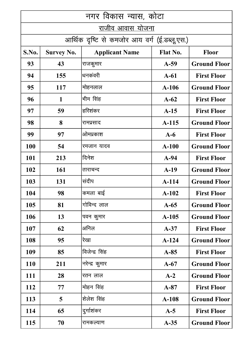| नगर विकास न्यास, कोटा   |                   |                                              |                 |                     |
|-------------------------|-------------------|----------------------------------------------|-----------------|---------------------|
| <u>राजीव आवास योजना</u> |                   |                                              |                 |                     |
|                         |                   | आर्थिक दृष्टि से कमजोर आय वर्ग (ई.डब्लू.एस.) |                 |                     |
| S.No.                   | <b>Survey No.</b> | <b>Applicant Name</b>                        | <b>Flat No.</b> | <b>Floor</b>        |
| 93                      | 43                | राजकुमार                                     | $A-59$          | <b>Ground Floor</b> |
| 94                      | 155               | धनकंवरी                                      | $A-61$          | <b>First Floor</b>  |
| 95                      | 117               | मोहनलाल                                      | $A-106$         | <b>Ground Floor</b> |
| 96                      | 1                 | भीम सिंह                                     | $A-62$          | <b>First Floor</b>  |
| 97                      | 59                | हरिशंकर                                      | $A-15$          | <b>First Floor</b>  |
| 98                      | 8                 | रामप्रसाद                                    | $A-115$         | <b>Ground Floor</b> |
| 99                      | 97                | ओमप्रकाश                                     | $A-6$           | <b>First Floor</b>  |
| <b>100</b>              | 54                | रमजान यादव                                   | $A-100$         | <b>Ground Floor</b> |
| 101                     | 213               | दिनेश                                        | $A-94$          | <b>First Floor</b>  |
| 102                     | 161               | ताराचन्द                                     | $A-19$          | <b>Ground Floor</b> |
| 103                     | 131               | संदीप                                        | $A-114$         | <b>Ground Floor</b> |
| 104                     | 98                | कमला बाई                                     | $A-102$         | <b>First Floor</b>  |
| 105                     | 81                | गोविन्द लाल                                  | $A-65$          | <b>Ground Floor</b> |
| 106                     | 13                | पवन कुमार                                    | $A-105$         | <b>Ground Floor</b> |
| 107                     | 62                | अनिल                                         | $A-37$          | <b>First Floor</b>  |
| 108                     | 95                | रेखा                                         | $A-124$         | <b>Ground Floor</b> |
| 109                     | 85                | विजेन्द्र सिंह                               | $A-85$          | <b>First Floor</b>  |
| 110                     | 211               | नरेन्द्र कुमार                               | $A-67$          | <b>Ground Floor</b> |
| 111                     | 28                | रतन लाल                                      | $A-2$           | <b>Ground Floor</b> |
| <b>112</b>              | 77                | मोहन सिंह                                    | $A-87$          | <b>First Floor</b>  |
| 113                     | 5                 | शेलेश सिंह                                   | $A-108$         | <b>Ground Floor</b> |
| 114                     | 65                | दुर्गाशंकर                                   | $A-5$           | <b>First Floor</b>  |
| 115                     | 70                | रामकल्याण                                    | $A-35$          | <b>Ground Floor</b> |